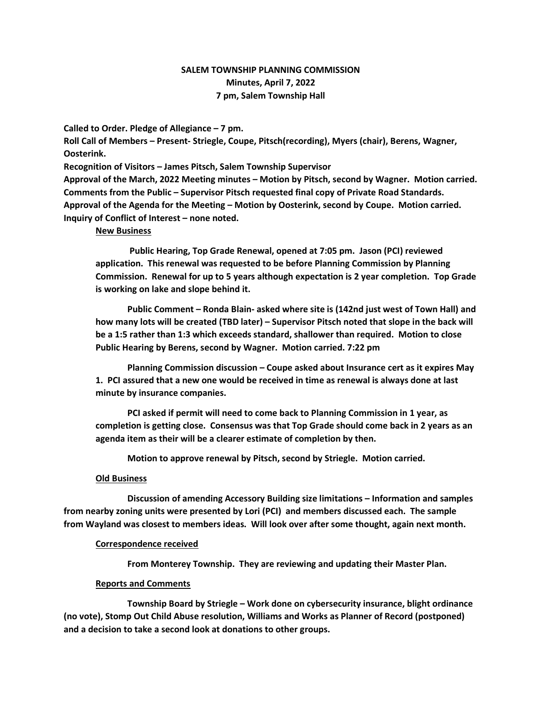# SALEM TOWNSHIP PLANNING COMMISSION Minutes, April 7, 2022 7 pm, Salem Township Hall

Called to Order. Pledge of Allegiance – 7 pm.

Roll Call of Members – Present- Striegle, Coupe, Pitsch(recording), Myers (chair), Berens, Wagner, Oosterink.

Recognition of Visitors – James Pitsch, Salem Township Supervisor Approval of the March, 2022 Meeting minutes – Motion by Pitsch, second by Wagner. Motion carried. Comments from the Public – Supervisor Pitsch requested final copy of Private Road Standards. Approval of the Agenda for the Meeting – Motion by Oosterink, second by Coupe. Motion carried. Inquiry of Conflict of Interest – none noted.

#### New Business

 Public Hearing, Top Grade Renewal, opened at 7:05 pm. Jason (PCI) reviewed application. This renewal was requested to be before Planning Commission by Planning Commission. Renewal for up to 5 years although expectation is 2 year completion. Top Grade is working on lake and slope behind it.

Public Comment – Ronda Blain- asked where site is (142nd just west of Town Hall) and how many lots will be created (TBD later) – Supervisor Pitsch noted that slope in the back will be a 1:5 rather than 1:3 which exceeds standard, shallower than required. Motion to close Public Hearing by Berens, second by Wagner. Motion carried. 7:22 pm

Planning Commission discussion – Coupe asked about Insurance cert as it expires May 1. PCI assured that a new one would be received in time as renewal is always done at last minute by insurance companies.

PCI asked if permit will need to come back to Planning Commission in 1 year, as completion is getting close. Consensus was that Top Grade should come back in 2 years as an agenda item as their will be a clearer estimate of completion by then.

Motion to approve renewal by Pitsch, second by Striegle. Motion carried.

## Old Business

 Discussion of amending Accessory Building size limitations – Information and samples from nearby zoning units were presented by Lori (PCI) and members discussed each. The sample from Wayland was closest to members ideas. Will look over after some thought, again next month.

#### Correspondence received

From Monterey Township. They are reviewing and updating their Master Plan.

## Reports and Comments

 Township Board by Striegle – Work done on cybersecurity insurance, blight ordinance (no vote), Stomp Out Child Abuse resolution, Williams and Works as Planner of Record (postponed) and a decision to take a second look at donations to other groups.